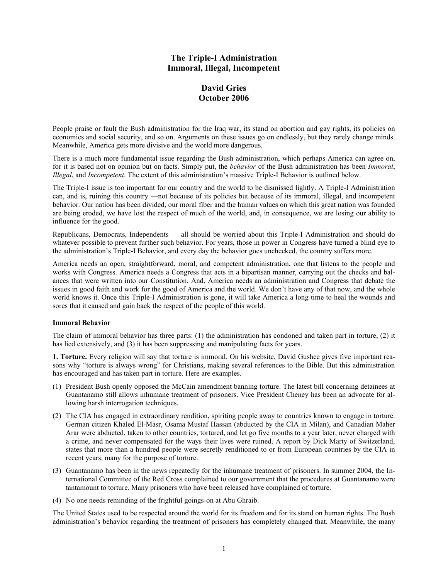## **The Triple-I Administration Immoral, Illegal, Incompetent**

# **David Gries October 2006**

People praise or fault the Bush administration for the Iraq war, its stand on abortion and gay rights, its policies on economics and social security, and so on. Arguments on these issues go on endlessly, but they rarely change minds. Meanwhile, America gets more divisive and the world more dangerous.

There is a much more fundamental issue regarding the Bush administration, which perhaps America can agree on, for it is based not on opinion but on facts. Simply put, the *behavior* of the Bush administration has been *Immoral*, *Illegal*, and *Incompetent*. The extent of this administration's massive Triple-I Behavior is outlined below.

The Triple-I issue is too important for our country and the world to be dismissed lightly. A Triple-I Administration can, and is, ruining this country —not because of its policies but because of its immoral, illegal, and incompetent behavior. Our nation has been divided, our moral fiber and the human values on which this great nation was founded are being eroded, we have lost the respect of much of the world, and, in consequence, we are losing our ability to influence for the good.

Republicans, Democrats, Independents — all should be worried about this Triple-I Administration and should do whatever possible to prevent further such behavior. For years, those in power in Congress have turned a blind eye to the administration's Triple-I Behavior, and every day the behavior goes unchecked, the country suffers more.

America needs an open, straightforward, moral, and competent administration, one that listens to the people and works with Congress. America needs a Congress that acts in a bipartisan manner, carrying out the checks and balances that were written into our Constitution. And, America needs an administration and Congress that debate the issues in good faith and work for the good of America and the world. We don't have any of that now, and the whole world knows it. Once this Triple-I Administration is gone, it will take America a long time to heal the wounds and sores that it caused and gain back the respect of the people of this world.

#### **Immoral Behavior**

The claim of immoral behavior has three parts: (1) the administration has condoned and taken part in torture, (2) it has lied extensively, and (3) it has been suppressing and manipulating facts for years.

**1. Torture.** Every religion will say that torture is immoral. On his website, David Gushee gives five important reasons why "torture is always wrong" for Christians, making several references to the Bible. But this administration has encouraged and has taken part in torture. Here are examples.

- (1) President Bush openly opposed the McCain amendment banning torture. The latest bill concerning detainees at Guantanamo still allows inhumane treatment of prisoners. Vice President Cheney has been an advocate for allowing harsh interrogation techniques.
- (2) The CIA has engaged in extraordinary rendition, spiriting people away to countries known to engage in torture. German citizen Khaled El-Masr, Osama Mustaf Hassan (abducted by the CIA in Milan), and Canadian Maher Arar were abducted, taken to other countries, tortured, and let go five months to a year later, never charged with a crime, and never compensated for the ways their lives were ruined. A report by Dick Marty of Switzerland, states that more than a hundred people were secretly renditioned to or from European countries by the CIA in recent years, many for the purpose of torture.
- (3) Guantanamo has been in the news repeatedly for the inhumane treatment of prisoners. In summer 2004, the International Committee of the Red Cross complained to our government that the procedures at Guantanamo were tantamount to torture. Many prisoners who have been released have complained of torture.
- (4) No one needs reminding of the frightful goings-on at Abu Ghraib.

The United States used to be respected around the world for its freedom and for its stand on human rights. The Bush administration's behavior regarding the treatment of prisoners has completely changed that. Meanwhile, the many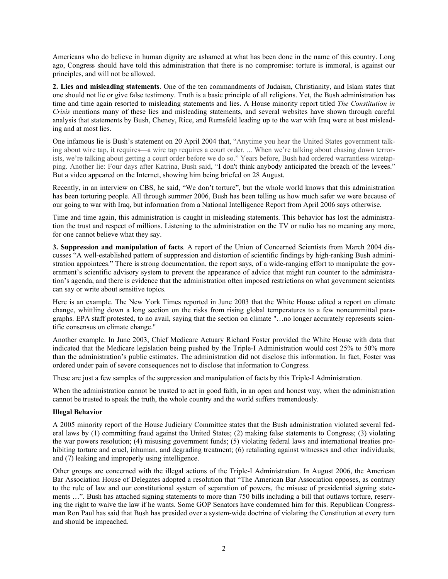Americans who do believe in human dignity are ashamed at what has been done in the name of this country. Long ago, Congress should have told this administration that there is no compromise: torture is immoral, is against our principles, and will not be allowed.

**2. Lies and misleading statements**. One of the ten commandments of Judaism, Christianity, and Islam states that one should not lie or give false testimony. Truth is a basic principle of all religions. Yet, the Bush administration has time and time again resorted to misleading statements and lies. A House minority report titled *The Constitution in Crisis* mentions many of these lies and misleading statements, and several websites have shown through careful analysis that statements by Bush, Cheney, Rice, and Rumsfeld leading up to the war with Iraq were at best misleading and at most lies.

One infamous lie is Bush's statement on 20 April 2004 that, "Anytime you hear the United States government talking about wire tap, it requires—a wire tap requires a court order. ... When we're talking about chasing down terrorists, we're talking about getting a court order before we do so." Years before, Bush had ordered warrantless wiretapping. Another lie: Four days after Katrina, Bush said, "I don't think anybody anticipated the breach of the levees." But a video appeared on the Internet, showing him being briefed on 28 August.

Recently, in an interview on CBS, he said, "We don't torture", but the whole world knows that this administration has been torturing people. All through summer 2006, Bush has been telling us how much safer we were because of our going to war with Iraq, but information from a National Intelligence Report from April 2006 says otherwise.

Time and time again, this administration is caught in misleading statements. This behavior has lost the administration the trust and respect of millions. Listening to the administration on the TV or radio has no meaning any more, for one cannot believe what they say.

**3. Suppression and manipulation of facts**. A report of the Union of Concerned Scientists from March 2004 discusses "A well-established pattern of suppression and distortion of scientific findings by high-ranking Bush administration appointees." There is strong documentation, the report says, of a wide-ranging effort to manipulate the government's scientific advisory system to prevent the appearance of advice that might run counter to the administration's agenda, and there is evidence that the administration often imposed restrictions on what government scientists can say or write about sensitive topics.

Here is an example. The New York Times reported in June 2003 that the White House edited a report on climate change, whittling down a long section on the risks from rising global temperatures to a few noncommittal paragraphs. EPA staff protested, to no avail, saying that the section on climate "…no longer accurately represents scientific consensus on climate change."

Another example. In June 2003, Chief Medicare Actuary Richard Foster provided the White House with data that indicated that the Medicare legislation being pushed by the Triple-I Administration would cost 25% to 50% more than the administration's public estimates. The administration did not disclose this information. In fact, Foster was ordered under pain of severe consequences not to disclose that information to Congress.

These are just a few samples of the suppression and manipulation of facts by this Triple-I Administration.

When the administration cannot be trusted to act in good faith, in an open and honest way, when the administration cannot be trusted to speak the truth, the whole country and the world suffers tremendously.

### **Illegal Behavior**

A 2005 minority report of the House Judiciary Committee states that the Bush administration violated several federal laws by (1) committing fraud against the United States; (2) making false statements to Congress; (3) violating the war powers resolution; (4) misusing government funds; (5) violating federal laws and international treaties prohibiting torture and cruel, inhuman, and degrading treatment; (6) retaliating against witnesses and other individuals; and (7) leaking and improperly using intelligence.

Other groups are concerned with the illegal actions of the Triple-I Administration. In August 2006, the American Bar Association House of Delegates adopted a resolution that "The American Bar Association opposes, as contrary to the rule of law and our constitutional system of separation of powers, the misuse of presidential signing statements …". Bush has attached signing statements to more than 750 bills including a bill that outlaws torture, reserving the right to waive the law if he wants. Some GOP Senators have condemned him for this. Republican Congressman Ron Paul has said that Bush has presided over a system-wide doctrine of violating the Constitution at every turn and should be impeached.